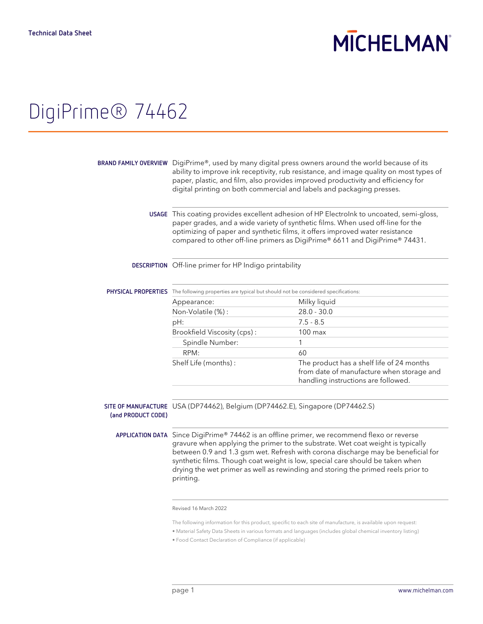# **MICHELMAN**

### DigiPrime® 74462

|                    | BRAND FAMILY OVERVIEW DigiPrime®, used by many digital press owners around the world because of its<br>ability to improve ink receptivity, rub resistance, and image quality on most types of<br>paper, plastic, and film, also provides improved productivity and efficiency for<br>digital printing on both commercial and labels and packaging presses.                                                                                           |                                                                                                                               |  |
|--------------------|------------------------------------------------------------------------------------------------------------------------------------------------------------------------------------------------------------------------------------------------------------------------------------------------------------------------------------------------------------------------------------------------------------------------------------------------------|-------------------------------------------------------------------------------------------------------------------------------|--|
|                    | USAGE This coating provides excellent adhesion of HP Electrolnk to uncoated, semi-gloss,<br>paper grades, and a wide variety of synthetic films. When used off-line for the<br>optimizing of paper and synthetic films, it offers improved water resistance<br>compared to other off-line primers as DigiPrime® 6611 and DigiPrime® 74431.                                                                                                           |                                                                                                                               |  |
|                    | DESCRIPTION Off-line primer for HP Indigo printability                                                                                                                                                                                                                                                                                                                                                                                               |                                                                                                                               |  |
|                    | PHYSICAL PROPERTIES The following properties are typical but should not be considered specifications:                                                                                                                                                                                                                                                                                                                                                |                                                                                                                               |  |
|                    | Appearance:                                                                                                                                                                                                                                                                                                                                                                                                                                          | Milky liquid                                                                                                                  |  |
|                    | Non-Volatile (%):                                                                                                                                                                                                                                                                                                                                                                                                                                    | $28.0 - 30.0$                                                                                                                 |  |
|                    | pH:                                                                                                                                                                                                                                                                                                                                                                                                                                                  | $7.5 - 8.5$                                                                                                                   |  |
|                    | Brookfield Viscosity (cps):                                                                                                                                                                                                                                                                                                                                                                                                                          | $100$ max                                                                                                                     |  |
|                    | Spindle Number:                                                                                                                                                                                                                                                                                                                                                                                                                                      | 1                                                                                                                             |  |
|                    | RPM:                                                                                                                                                                                                                                                                                                                                                                                                                                                 | 60                                                                                                                            |  |
|                    | Shelf Life (months):                                                                                                                                                                                                                                                                                                                                                                                                                                 | The product has a shelf life of 24 months<br>from date of manufacture when storage and<br>handling instructions are followed. |  |
| (and PRODUCT CODE) | SITE OF MANUFACTURE USA (DP74462), Belgium (DP74462.E), Singapore (DP74462.S)                                                                                                                                                                                                                                                                                                                                                                        |                                                                                                                               |  |
|                    | APPLICATION DATA Since DigiPrime® 74462 is an offline primer, we recommend flexo or reverse<br>gravure when applying the primer to the substrate. Wet coat weight is typically<br>between 0.9 and 1.3 gsm wet. Refresh with corona discharge may be beneficial for<br>synthetic films. Though coat weight is low, special care should be taken when<br>drying the wet primer as well as rewinding and storing the primed reels prior to<br>printing. |                                                                                                                               |  |

#### Revised 16 March 2022

The following information for this product, specific to each site of manufacture, is available upon request:

• Food Contact Declaration of Compliance (if applicable)

<sup>•</sup> Material Safety Data Sheets in various formats and languages (includes global chemical inventory listing)